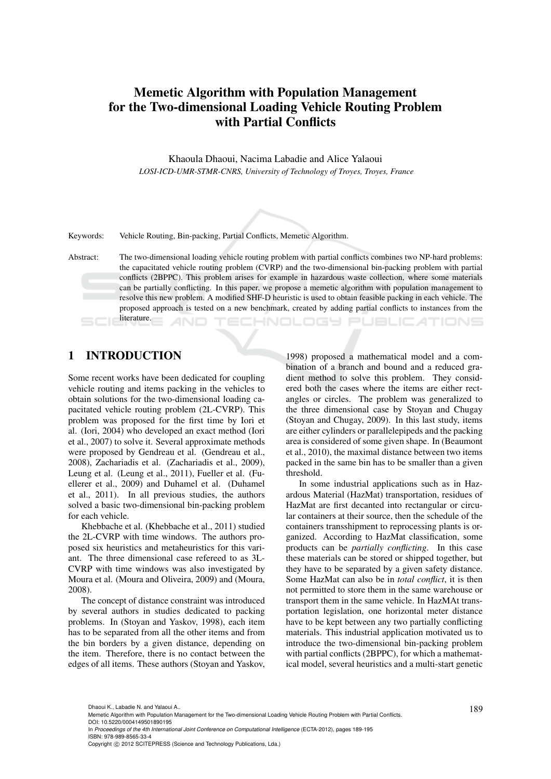# Memetic Algorithm with Population Management for the Two-dimensional Loading Vehicle Routing Problem with Partial Conflicts

Khaoula Dhaoui, Nacima Labadie and Alice Yalaoui *LOSI-ICD-UMR-STMR-CNRS, University of Technology of Troyes, Troyes, France*



Keywords: Vehicle Routing, Bin-packing, Partial Conflicts, Memetic Algorithm.

Abstract: The two-dimensional loading vehicle routing problem with partial conflicts combines two NP-hard problems: the capacitated vehicle routing problem (CVRP) and the two-dimensional bin-packing problem with partial conflicts (2BPPC). This problem arises for example in hazardous waste collection, where some materials can be partially conflicting. In this paper, we propose a memetic algorithm with population management to resolve this new problem. A modified SHF-D heuristic is used to obtain feasible packing in each vehicle. The proposed approach is tested on a new benchmark, created by adding partial conflicts to instances from the literature. **ECHNOLOGY PUBLICATIONS** 

# 1 INTRODUCTION

Some recent works have been dedicated for coupling vehicle routing and items packing in the vehicles to obtain solutions for the two-dimensional loading capacitated vehicle routing problem (2L-CVRP). This problem was proposed for the first time by Iori et al. (Iori, 2004) who developed an exact method (Iori et al., 2007) to solve it. Several approximate methods were proposed by Gendreau et al. (Gendreau et al., 2008), Zachariadis et al. (Zachariadis et al., 2009), Leung et al. (Leung et al., 2011), Fueller et al. (Fuellerer et al., 2009) and Duhamel et al. (Duhamel et al., 2011). In all previous studies, the authors solved a basic two-dimensional bin-packing problem for each vehicle.

Khebbache et al. (Khebbache et al., 2011) studied the 2L-CVRP with time windows. The authors proposed six heuristics and metaheuristics for this variant. The three dimensional case refereed to as 3L-CVRP with time windows was also investigated by Moura et al. (Moura and Oliveira, 2009) and (Moura, 2008).

The concept of distance constraint was introduced by several authors in studies dedicated to packing problems. In (Stoyan and Yaskov, 1998), each item has to be separated from all the other items and from the bin borders by a given distance, depending on the item. Therefore, there is no contact between the edges of all items. These authors (Stoyan and Yaskov,

1998) proposed a mathematical model and a combination of a branch and bound and a reduced gradient method to solve this problem. They considered both the cases where the items are either rectangles or circles. The problem was generalized to the three dimensional case by Stoyan and Chugay (Stoyan and Chugay, 2009). In this last study, items are either cylinders or parallelepipeds and the packing area is considered of some given shape. In (Beaumont et al., 2010), the maximal distance between two items packed in the same bin has to be smaller than a given threshold.

In some industrial applications such as in Hazardous Material (HazMat) transportation, residues of HazMat are first decanted into rectangular or circular containers at their source, then the schedule of the containers transshipment to reprocessing plants is organized. According to HazMat classification, some products can be *partially conflicting*. In this case these materials can be stored or shipped together, but they have to be separated by a given safety distance. Some HazMat can also be in *total conflict*, it is then not permitted to store them in the same warehouse or transport them in the same vehicle. In HazMAt transportation legislation, one horizontal meter distance have to be kept between any two partially conflicting materials. This industrial application motivated us to introduce the two-dimensional bin-packing problem with partial conflicts (2BPPC), for which a mathematical model, several heuristics and a multi-start genetic

<sup>189</sup> Dhaoui K., Labadie N. and Yalaoui A.. Memetic Algorithm with Population Management for the Two-dimensional Loading Vehicle Routing Problem with Partial Conflicts. DOI: 10.5220/0004149501890195

In *Proceedings of the 4th International Joint Conference on Computational Intelligence* (ECTA-2012), pages 189-195 ISBN: 978-989-8565-33-4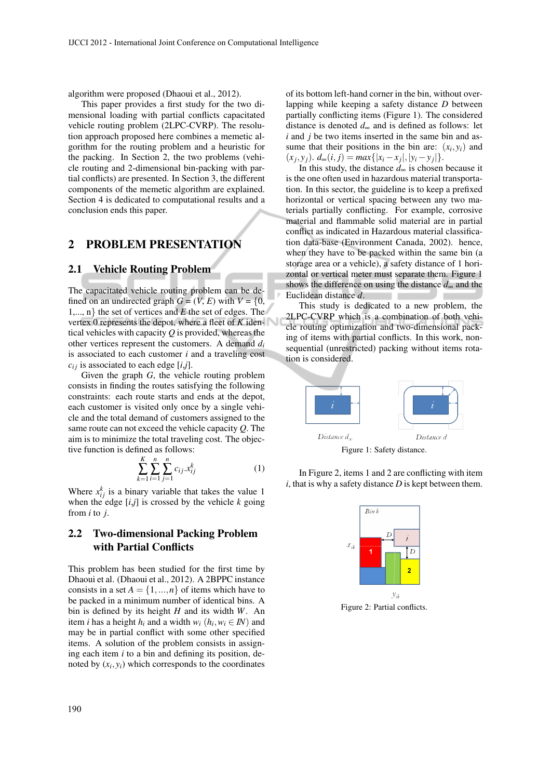algorithm were proposed (Dhaoui et al., 2012).

This paper provides a first study for the two dimensional loading with partial conflicts capacitated vehicle routing problem (2LPC-CVRP). The resolution approach proposed here combines a memetic algorithm for the routing problem and a heuristic for the packing. In Section 2, the two problems (vehicle routing and 2-dimensional bin-packing with partial conflicts) are presented. In Section 3, the different components of the memetic algorithm are explained. Section 4 is dedicated to computational results and a conclusion ends this paper.

#### 2 PROBLEM PRESENTATION

#### 2.1 Vehicle Routing Problem

The capacitated vehicle routing problem can be defined on an undirected graph  $G = (V, E)$  with  $V = \{0,$ 1,..., n} the set of vertices and *E* the set of edges. The vertex 0 represents the depot, where a fleet of *K* identical vehicles with capacity *Q* is provided, whereas the other vertices represent the customers. A demand *d<sup>i</sup>* is associated to each customer *i* and a traveling cost  $c_{ij}$  is associated to each edge  $[i,j]$ .

Given the graph *G*, the vehicle routing problem consists in finding the routes satisfying the following constraints: each route starts and ends at the depot, each customer is visited only once by a single vehicle and the total demand of customers assigned to the same route can not exceed the vehicle capacity *Q*. The aim is to minimize the total traveling cost. The objective function is defined as follows:

$$
\sum_{k=1}^{K} \sum_{i=1}^{n} \sum_{j=1}^{n} c_{ij} x_{ij}^{k}
$$
 (1)

Where  $x_{ij}^k$  is a binary variable that takes the value 1 when the edge  $[i,j]$  is crossed by the vehicle  $k$  going from *i* to *j*.

### 2.2 Two-dimensional Packing Problem with Partial Conflicts

This problem has been studied for the first time by Dhaoui et al. (Dhaoui et al., 2012). A 2BPPC instance consists in a set  $A = \{1, ..., n\}$  of items which have to be packed in a minimum number of identical bins. A bin is defined by its height *H* and its width *W*. An item *i* has a height  $h_i$  and a width  $w_i$  ( $h_i$ ,  $w_i \in I\!N$ ) and may be in partial conflict with some other specified items. A solution of the problem consists in assigning each item *i* to a bin and defining its position, denoted by  $(x_i, y_i)$  which corresponds to the coordinates

of its bottom left-hand corner in the bin, without overlapping while keeping a safety distance *D* between partially conflicting items (Figure 1). The considered distance is denoted *d*<sup>∞</sup> and is defined as follows: let *i* and *j* be two items inserted in the same bin and assume that their positions in the bin are:  $(x_i, y_i)$  and  $(x_j, y_j)$ .  $d_{\infty}(i, j) = max\{|x_i - x_j|, |y_i - y_j|\}.$ 

In this study, the distance  $d_{\infty}$  is chosen because it is the one often used in hazardous material transportation. In this sector, the guideline is to keep a prefixed horizontal or vertical spacing between any two materials partially conflicting. For example, corrosive material and flammable solid material are in partial conflict as indicated in Hazardous material classification data-base (Environment Canada, 2002). hence, when they have to be packed within the same bin (a storage area or a vehicle), a safety distance of 1 horizontal or vertical meter must separate them. Figure 1 shows the difference on using the distance *d*<sup>∞</sup> and the Euclidean distance *d*.

This study is dedicated to a new problem, the 2LPC-CVRP which is a combination of both vehicle routing optimization and two-dimensional packing of items with partial conflicts. In this work, nonsequential (unrestricted) packing without items rotation is considered.



Figure 1: Safety distance.

In Figure 2, items 1 and 2 are conflicting with item *i*, that is why a safety distance *D* is kept between them.



Figure 2: Partial conflicts.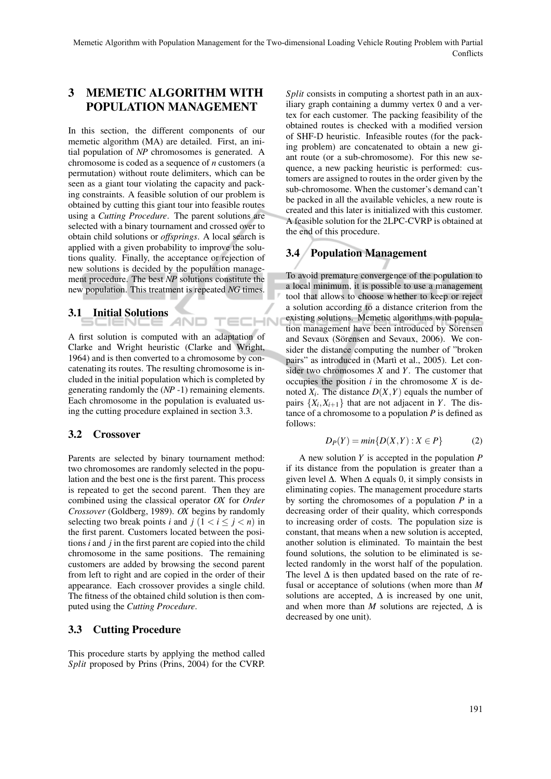TECHN

# 3 MEMETIC ALGORITHM WITH POPULATION MANAGEMENT

In this section, the different components of our memetic algorithm (MA) are detailed. First, an initial population of *NP* chromosomes is generated. A chromosome is coded as a sequence of *n* customers (a permutation) without route delimiters, which can be seen as a giant tour violating the capacity and packing constraints. A feasible solution of our problem is obtained by cutting this giant tour into feasible routes using a *Cutting Procedure*. The parent solutions are selected with a binary tournament and crossed over to obtain child solutions or *offsprings*. A local search is applied with a given probability to improve the solutions quality. Finally, the acceptance or rejection of new solutions is decided by the population management procedure. The best *NP* solutions constitute the new population. This treatment is repeated *NG* times.

# 3.1 Initial Solutions

A first solution is computed with an adaptation of Clarke and Wright heuristic (Clarke and Wright, 1964) and is then converted to a chromosome by concatenating its routes. The resulting chromosome is included in the initial population which is completed by generating randomly the (*NP* -1) remaining elements. Each chromosome in the population is evaluated using the cutting procedure explained in section 3.3.

#### 3.2 Crossover

Parents are selected by binary tournament method: two chromosomes are randomly selected in the population and the best one is the first parent. This process is repeated to get the second parent. Then they are combined using the classical operator *OX* for *Order Crossover* (Goldberg, 1989). *OX* begins by randomly selecting two break points *i* and  $j$  ( $1 < i < j < n$ ) in the first parent. Customers located between the positions *i* and *j* in the first parent are copied into the child chromosome in the same positions. The remaining customers are added by browsing the second parent from left to right and are copied in the order of their appearance. Each crossover provides a single child. The fitness of the obtained child solution is then computed using the *Cutting Procedure*.

# 3.3 Cutting Procedure

This procedure starts by applying the method called *Split* proposed by Prins (Prins, 2004) for the CVRP.

*Split* consists in computing a shortest path in an auxiliary graph containing a dummy vertex 0 and a vertex for each customer. The packing feasibility of the obtained routes is checked with a modified version of SHF-D heuristic. Infeasible routes (for the packing problem) are concatenated to obtain a new giant route (or a sub-chromosome). For this new sequence, a new packing heuristic is performed: customers are assigned to routes in the order given by the sub-chromosome. When the customer's demand can't be packed in all the available vehicles, a new route is created and this later is initialized with this customer. A feasible solution for the 2LPC-CVRP is obtained at the end of this procedure.

# 3.4 Population Management

To avoid premature convergence of the population to a local minimum, it is possible to use a management tool that allows to choose whether to keep or reject a solution according to a distance criterion from the existing solutions. Memetic algorithms with population management have been introduced by Sörensen and Sevaux (Sörensen and Sevaux, 2006). We consider the distance computing the number of "broken pairs" as introduced in (Martì et al., 2005). Let consider two chromosomes *X* and *Y*. The customer that occupies the position  $i$  in the chromosome  $X$  is denoted  $X_i$ . The distance  $D(X, Y)$  equals the number of pairs  $\{X_i, X_{i+1}\}\$  that are not adjacent in *Y*. The distance of a chromosome to a population *P* is defined as follows:

$$
D_P(Y) = min\{D(X,Y) : X \in P\}
$$
 (2)

A new solution *Y* is accepted in the population *P* if its distance from the population is greater than a given level  $\Delta$ . When  $\Delta$  equals 0, it simply consists in eliminating copies. The management procedure starts by sorting the chromosomes of a population *P* in a decreasing order of their quality, which corresponds to increasing order of costs. The population size is constant, that means when a new solution is accepted, another solution is eliminated. To maintain the best found solutions, the solution to be eliminated is selected randomly in the worst half of the population. The level  $\Delta$  is then updated based on the rate of refusal or acceptance of solutions (when more than *M* solutions are accepted,  $\Delta$  is increased by one unit, and when more than  $M$  solutions are rejected,  $\Delta$  is decreased by one unit).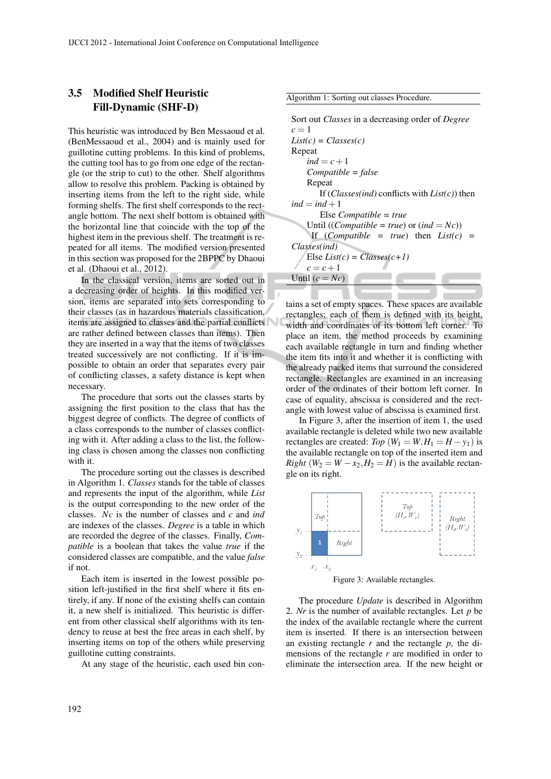#### 3.5 Modified Shelf Heuristic Fill-Dynamic (SHF-D)

This heuristic was introduced by Ben Messaoud et al. (BenMessaoud et al., 2004) and is mainly used for guillotine cutting problems. In this kind of problems, the cutting tool has to go from one edge of the rectangle (or the strip to cut) to the other. Shelf algorithms allow to resolve this problem. Packing is obtained by inserting items from the left to the right side, while forming shelfs. The first shelf corresponds to the rectangle bottom. The next shelf bottom is obtained with the horizontal line that coincide with the top of the highest item in the previous shelf. The treatment is repeated for all items. The modified version presented in this section was proposed for the 2BPPC by Dhaoui et al. (Dhaoui et al., 2012).

In the classical version, items are sorted out in a decreasing order of heights. In this modified version, items are separated into sets corresponding to their classes (as in hazardous materials classification, items are assigned to classes and the partial conflicts are rather defined between classes than items). Then they are inserted in a way that the items of two classes treated successively are not conflicting. If it is impossible to obtain an order that separates every pair of conflicting classes, a safety distance is kept when necessary.

The procedure that sorts out the classes starts by assigning the first position to the class that has the biggest degree of conflicts. The degree of conflicts of a class corresponds to the number of classes conflicting with it. After adding a class to the list, the following class is chosen among the classes non conflicting with it.

The procedure sorting out the classes is described in Algorithm 1. *Classes* stands for the table of classes and represents the input of the algorithm, while *List* is the output corresponding to the new order of the classes. *Nc* is the number of classes and *c* and *ind* are indexes of the classes. *Degree* is a table in which are recorded the degree of the classes. Finally, *Compatible* is a boolean that takes the value *true* if the considered classes are compatible, and the value *false* if not.

Each item is inserted in the lowest possible position left-justified in the first shelf where it fits entirely, if any. If none of the existing shelfs can contain it, a new shelf is initialized. This heuristic is different from other classical shelf algorithms with its tendency to reuse at best the free areas in each shelf, by inserting items on top of the others while preserving guillotine cutting constraints.

At any stage of the heuristic, each used bin con-

Algorithm 1: Sorting out classes Procedure.

Sort out *Classes* in a decreasing order of *Degree*  $c = 1$ *List(c) = Classes(c)* Repeat  $ind = c + 1$ *Compatible = false* Repeat If (*Classes(ind)* conflicts with *List(c)*) then  $ind = ind + 1$ Else *Compatible = true* Until ((*Compatible = true*) or  $(ind = Nc)$ ) If (*Compatible = true*) then *List(c) = Classes(ind)* Else  $List(c) = Classes(c+1)$  $c = c + 1$ Until  $(c = Nc)$ 

tains a set of empty spaces. These spaces are available rectangles; each of them is defined with its height, width and coordinates of its bottom left corner. To place an item, the method proceeds by examining each available rectangle in turn and finding whether the item fits into it and whether it is conflicting with the already packed items that surround the considered rectangle. Rectangles are examined in an increasing order of the ordinates of their bottom left corner. In case of equality, abscissa is considered and the rectangle with lowest value of abscissa is examined first.

In Figure 3, after the insertion of item 1, the used available rectangle is deleted while two new available rectangles are created: *Top* ( $W_1 = W, H_1 = H - y_1$ ) is the available rectangle on top of the inserted item and *Right* ( $W_2 = W - x_2, H_2 = H$ ) is the available rectangle on its right.



Figure 3: Available rectangles.

The procedure *Update* is described in Algorithm 2. *Nr* is the number of available rectangles. Let *p* be the index of the available rectangle where the current item is inserted. If there is an intersection between an existing rectangle *r* and the rectangle *p*, the dimensions of the rectangle *r* are modified in order to eliminate the intersection area. If the new height or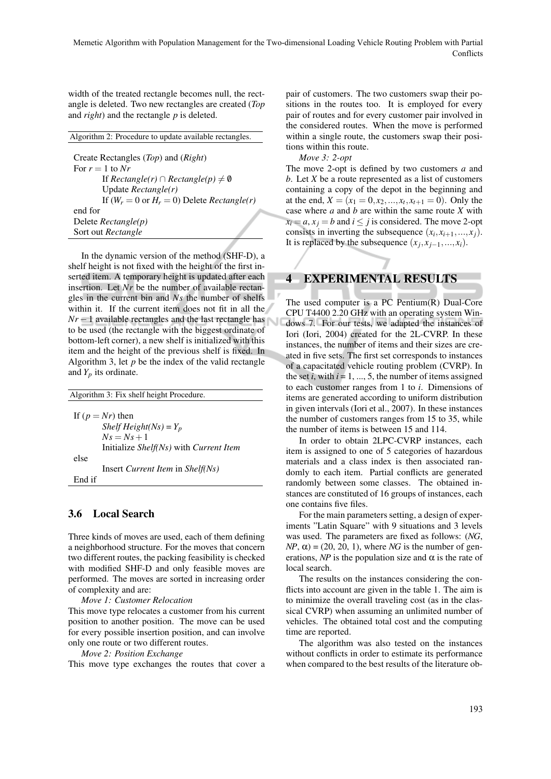width of the treated rectangle becomes null, the rectangle is deleted. Two new rectangles are created (*Top* and *right*) and the rectangle *p* is deleted.

| Algorithm 2: Procedure to update available rectangles. |
|--------------------------------------------------------|
|                                                        |
| Create Rectangles (Top) and (Right)                    |
| For $r = 1$ to Nr                                      |
| If $Rectangle(r) \cap Rectangle(p) \neq \emptyset$     |
| Update $Rectangle(r)$                                  |
| If $(W_r = 0$ or $H_r = 0$ ) Delete Rectangle(r)       |
| end for                                                |
| Delete $Rectangle(p)$                                  |
| Sort out Rectangle                                     |

In the dynamic version of the method (SHF-D), a shelf height is not fixed with the height of the first inserted item. A temporary height is updated after each insertion. Let *Nr* be the number of available rectangles in the current bin and *Ns* the number of shelfs within it. If the current item does not fit in all the  $Nr-1$  available rectangles and the last rectangle has to be used (the rectangle with the biggest ordinate of bottom-left corner), a new shelf is initialized with this item and the height of the previous shelf is fixed. In Algorithm 3, let  $p$  be the index of the valid rectangle and  $Y_p$  its ordinate.

Algorithm 3: Fix shelf height Procedure. If  $(p = Nr)$  then *Shelf Height(Ns)* =  $Y_p$  $Ns = Ns + 1$ Initialize *Shelf(Ns)* with *Current Item* else Insert *Current Item* in *Shelf(Ns)* End if

#### 3.6 Local Search

Three kinds of moves are used, each of them defining a neighborhood structure. For the moves that concern two different routes, the packing feasibility is checked with modified SHF-D and only feasible moves are performed. The moves are sorted in increasing order of complexity and are:

*Move 1: Customer Relocation*

This move type relocates a customer from his current position to another position. The move can be used for every possible insertion position, and can involve only one route or two different routes.

*Move 2: Position Exchange*

This move type exchanges the routes that cover a

pair of customers. The two customers swap their positions in the routes too. It is employed for every pair of routes and for every customer pair involved in the considered routes. When the move is performed within a single route, the customers swap their positions within this route.

*Move 3: 2-opt*

The move 2-opt is defined by two customers *a* and *b*. Let *X* be a route represented as a list of customers containing a copy of the depot in the beginning and at the end,  $X = (x_1 = 0, x_2, ..., x_t, x_{t+1} = 0)$ . Only the case where *a* and *b* are within the same route *X* with  $x_i = a, x_j = b$  and  $i \leq j$  is considered. The move 2-opt consists in inverting the subsequence  $(x_i, x_{i+1},...,x_j)$ . It is replaced by the subsequence  $(x_j, x_{j-1},...,x_i)$ .

# 4 EXPERIMENTAL RESULTS

The used computer is a PC Pentium(R) Dual-Core CPU T4400 2.20 GHz with an operating system Windows 7. For our tests, we adapted the instances of Iori (Iori, 2004) created for the 2L-CVRP. In these instances, the number of items and their sizes are created in five sets. The first set corresponds to instances of a capacitated vehicle routing problem (CVRP). In the set  $i$ , with  $i = 1, ..., 5$ , the number of items assigned to each customer ranges from 1 to *i*. Dimensions of items are generated according to uniform distribution in given intervals (Iori et al., 2007). In these instances the number of customers ranges from 15 to 35, while the number of items is between 15 and 114.

In order to obtain 2LPC-CVRP instances, each item is assigned to one of 5 categories of hazardous materials and a class index is then associated randomly to each item. Partial conflicts are generated randomly between some classes. The obtained instances are constituted of 16 groups of instances, each one contains five files.

For the main parameters setting, a design of experiments "Latin Square" with 9 situations and 3 levels was used. The parameters are fixed as follows: (*NG*,  $NP$ ,  $\alpha$ ) = (20, 20, 1), where *NG* is the number of generations, *NP* is the population size and  $\alpha$  is the rate of local search.

The results on the instances considering the conflicts into account are given in the table 1. The aim is to minimize the overall traveling cost (as in the classical CVRP) when assuming an unlimited number of vehicles. The obtained total cost and the computing time are reported.

The algorithm was also tested on the instances without conflicts in order to estimate its performance when compared to the best results of the literature ob-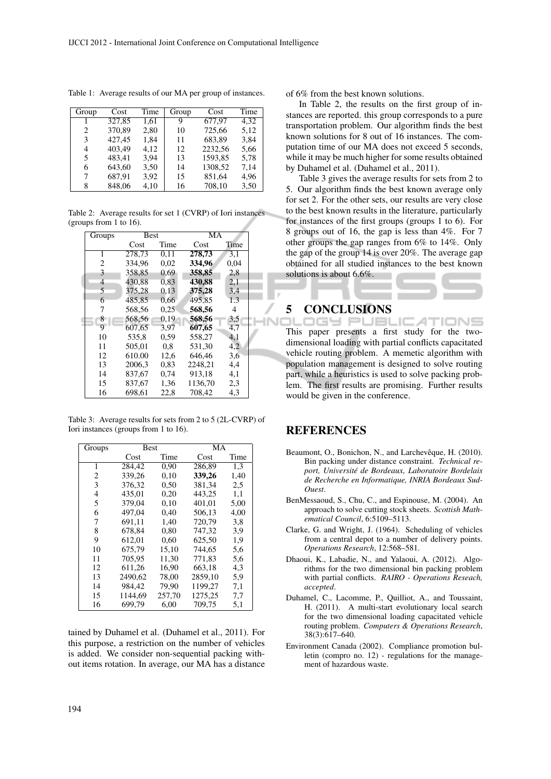| Group | Cost   | Time | Group | Cost    | Time |
|-------|--------|------|-------|---------|------|
|       | 327,85 | 1.61 | 9     | 677,97  | 4.32 |
| 2     | 370,89 | 2,80 | 10    | 725,66  | 5,12 |
| 3     | 427,45 | 1.84 | 11    | 683,89  | 3,84 |
| 4     | 403,49 | 4.12 | 12    | 2232,56 | 5,66 |
| 5     | 483,41 | 3,94 | 13    | 1593,85 | 5,78 |
| 6     | 643,60 | 3,50 | 14    | 1308,52 | 7,14 |
| 7     | 687,91 | 3,92 | 15    | 851,64  | 4,96 |
| 8     | 848,06 | 4,10 | 16    | 708,10  | 3,50 |
|       |        |      |       |         |      |

Table 1: Average results of our MA per group of instances.

Table 2: Average results for set 1 (CVRP) of Iori instances (groups from 1 to 16).

| Groups         | <b>Best</b> |      | MA      |      |  |
|----------------|-------------|------|---------|------|--|
|                | Cost        | Time | Cost    | Time |  |
| 1              | 278.73      | 0.11 | 278.73  | 3.1  |  |
| 2              | 334.96      | 0,02 | 334.96  | 0,04 |  |
| 3              | 358,85      | 0.69 | 358,85  | 2,8  |  |
| $\overline{4}$ | 430.88      | 0.83 | 430.88  | 2,1  |  |
| 5              | 375,28      | 0.13 | 375,28  | 3,4  |  |
| 6              | 485.85      | 0,66 | 495.85  | 1.3  |  |
| 7              | 568.56      | 0.25 | 568,56  | 4    |  |
| 8              | 568,56      | 0.19 | 568,56  | 3,5  |  |
| 9              | 607.65      | 3,97 | 607.65  | 4,7  |  |
| 10             | 535,8       | 0,59 | 558.27  | 4,1  |  |
| 11             | 505.01      | 0.8  | 531,30  | 4,2  |  |
| 12             | 610.00      | 12,6 | 646.46  | 3,6  |  |
| 13             | 2006.3      | 0,83 | 2248.21 | 4,4  |  |
| 14             | 837.67      | 0,74 | 913.18  | 4,1  |  |
| 15             | 837,67      | 1,36 | 1136,70 | 2,3  |  |
| 16             | 698.61      | 22,8 | 708.42  | 4,3  |  |

Table 3: Average results for sets from 2 to 5 (2L-CVRP) of Iori instances (groups from 1 to 16).

| Groups | <b>Best</b> |        | $\overline{MA}$ |      |
|--------|-------------|--------|-----------------|------|
|        | Cost        | Time   | Cost            | Time |
| 1      | 284,42      | 0.90   | 286.89          | 1,3  |
| 2      | 339.26      | 0.10   | 339,26          | 1,40 |
| 3      | 376,32      | 0,50   | 381,34          | 2,5  |
| 4      | 435,01      | 0,20   | 443.25          | 1,1  |
| 5      | 379.04      | 0.10   | 401.01          | 5,00 |
| 6      | 497,04      | 0.40   | 506,13          | 4,00 |
| 7      | 691.11      | 1.40   | 720.79          | 3.8  |
| 8      | 678.84      | 0,80   | 747.32          | 3.9  |
| 9      | 612,01      | 0.60   | 625.50          | 1,9  |
| 10     | 675,79      | 15,10  | 744.65          | 5,6  |
| 11     | 705.95      | 11.30  | 771.83          | 5,6  |
| 12     | 611,26      | 16.90  | 663.18          | 4,3  |
| 13     | 2490.62     | 78,00  | 2859,10         | 5.9  |
| 14     | 984.42      | 79.90  | 1199.27         | 7,1  |
| 15     | 1144,69     | 257,70 | 1275,25         | 7,7  |
| 16     | 699,79      | 6,00   | 709,75          | 5,1  |

tained by Duhamel et al. (Duhamel et al., 2011). For this purpose, a restriction on the number of vehicles is added. We consider non-sequential packing without items rotation. In average, our MA has a distance

of 6% from the best known solutions.

In Table 2, the results on the first group of instances are reported. this group corresponds to a pure transportation problem. Our algorithm finds the best known solutions for 8 out of 16 instances. The computation time of our MA does not exceed 5 seconds, while it may be much higher for some results obtained by Duhamel et al. (Duhamel et al., 2011).

Table 3 gives the average results for sets from 2 to 5. Our algorithm finds the best known average only for set 2. For the other sets, our results are very close to the best known results in the literature, particularly for instances of the first groups (groups 1 to 6). For 8 groups out of 16, the gap is less than 4%. For 7 other groups the gap ranges from 6% to 14%. Only the gap of the group 14 is over 20%. The average gap obtained for all studied instances to the best known solutions is about 6.6%.

# 5 CONCLUSIONS<br>DLOODS PUBLICATIONS

This paper presents a first study for the twodimensional loading with partial conflicts capacitated vehicle routing problem. A memetic algorithm with population management is designed to solve routing part, while a heuristics is used to solve packing problem. The first results are promising. Further results would be given in the conference.

#### REFERENCES

- Beaumont, O., Bonichon, N., and Larchevêque, H. (2010). Bin packing under distance constraint. *Technical report, Universite de Bordeaux, Laboratoire Bordelais ´ de Recherche en Informatique, INRIA Bordeaux Sud-Ouest*.
- BenMessaoud, S., Chu, C., and Espinouse, M. (2004). An approach to solve cutting stock sheets. *Scottish Mathematical Council*, 6:5109–5113.
- Clarke, G. and Wright, J. (1964). Scheduling of vehicles from a central depot to a number of delivery points. *Operations Research*, 12:568–581.
- Dhaoui, K., Labadie, N., and Yalaoui, A. (2012). Algorithms for the two dimensional bin packing problem with partial conflicts. *RAIRO - Operations Reseach, accepted*.
- Duhamel, C., Lacomme, P., Quilliot, A., and Toussaint, H. (2011). A multi-start evolutionary local search for the two dimensional loading capacitated vehicle routing problem. *Computers & Operations Research*, 38(3):617–640.
- Environment Canada (2002). Compliance promotion bulletin (compro no. 12) - regulations for the management of hazardous waste.